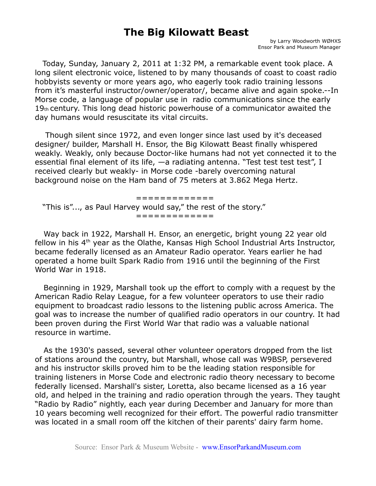## **The Big Kilowatt Beast**

 Today, Sunday, January 2, 2011 at 1:32 PM, a remarkable event took place. A long silent electronic voice, listened to by many thousands of coast to coast radio hobbyists seventy or more years ago, who eagerly took radio training lessons from it's masterful instructor/owner/operator/, became alive and again spoke.--In Morse code, a language of popular use in radio communications since the early 19th century. This long dead historic powerhouse of a communicator awaited the day humans would resuscitate its vital circuits.

 Though silent since 1972, and even longer since last used by it's deceased designer/ builder, Marshall H. Ensor, the Big Kilowatt Beast finally whispered weakly. Weakly, only because Doctor-like humans had not yet connected it to the essential final element of its life,  $-a$  radiating antenna. "Test test test test", I received clearly but weakly- in Morse code -barely overcoming natural background noise on the Ham band of 75 meters at 3.862 Mega Hertz.

 ============= "This is"..., as Paul Harvey would say," the rest of the story." =============

Way back in 1922, Marshall H. Ensor, an energetic, bright young 22 year old fellow in his 4<sup>th</sup> year as the Olathe, Kansas High School Industrial Arts Instructor, became federally licensed as an Amateur Radio operator. Years earlier he had operated a home built Spark Radio from 1916 until the beginning of the First World War in 1918.

Beginning in 1929, Marshall took up the effort to comply with a request by the American Radio Relay League, for a few volunteer operators to use their radio equipment to broadcast radio lessons to the listening public across America. The goal was to increase the number of qualified radio operators in our country. It had been proven during the First World War that radio was a valuable national resource in wartime.

As the 1930's passed, several other volunteer operators dropped from the list of stations around the country, but Marshall, whose call was W9BSP, persevered and his instructor skills proved him to be the leading station responsible for training listeners in Morse Code and electronic radio theory necessary to become federally licensed. Marshall's sister, Loretta, also became licensed as a 16 year old, and helped in the training and radio operation through the years. They taught "Radio by Radio" nightly, each year during December and January for more than 10 years becoming well recognized for their effort. The powerful radio transmitter was located in a small room off the kitchen of their parents' dairy farm home.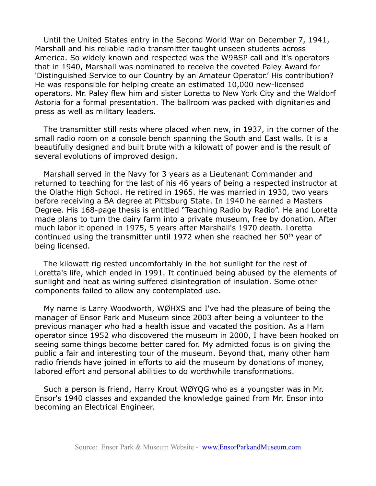Until the United States entry in the Second World War on December 7, 1941, Marshall and his reliable radio transmitter taught unseen students across America. So widely known and respected was the W9BSP call and it's operators that in 1940, Marshall was nominated to receive the coveted Paley Award for 'Distinguished Service to our Country by an Amateur Operator.' His contribution? He was responsible for helping create an estimated 10,000 new-licensed operators. Mr. Paley flew him and sister Loretta to New York City and the Waldorf Astoria for a formal presentation. The ballroom was packed with dignitaries and press as well as military leaders.

The transmitter still rests where placed when new, in 1937, in the corner of the small radio room on a console bench spanning the South and East walls. It is a beautifully designed and built brute with a kilowatt of power and is the result of several evolutions of improved design.

Marshall served in the Navy for 3 years as a Lieutenant Commander and returned to teaching for the last of his 46 years of being a respected instructor at the Olathe High School. He retired in 1965. He was married in 1930, two years before receiving a BA degree at Pittsburg State. In 1940 he earned a Masters Degree. His 168-page thesis is entitled "Teaching Radio by Radio". He and Loretta made plans to turn the dairy farm into a private museum, free by donation. After much labor it opened in 1975, 5 years after Marshall's 1970 death. Loretta continued using the transmitter until 1972 when she reached her 50<sup>th</sup> year of being licensed.

The kilowatt rig rested uncomfortably in the hot sunlight for the rest of Loretta's life, which ended in 1991. It continued being abused by the elements of sunlight and heat as wiring suffered disintegration of insulation. Some other components failed to allow any contemplated use.

My name is Larry Woodworth, WØHXS and I've had the pleasure of being the manager of Ensor Park and Museum since 2003 after being a volunteer to the previous manager who had a health issue and vacated the position. As a Ham operator since 1952 who discovered the museum in 2000, I have been hooked on seeing some things become better cared for. My admitted focus is on giving the public a fair and interesting tour of the museum. Beyond that, many other ham radio friends have joined in efforts to aid the museum by donations of money, labored effort and personal abilities to do worthwhile transformations.

Such a person is friend, Harry Krout WØYQG who as a youngster was in Mr. Ensor's 1940 classes and expanded the knowledge gained from Mr. Ensor into becoming an Electrical Engineer.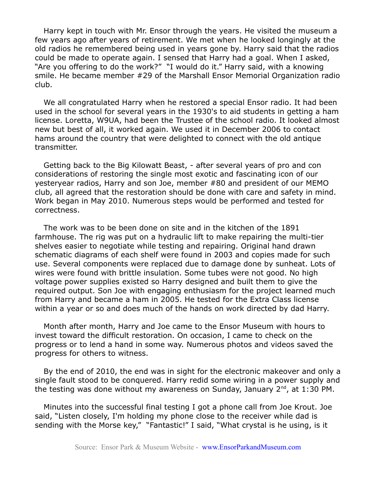Harry kept in touch with Mr. Ensor through the years. He visited the museum a few years ago after years of retirement. We met when he looked longingly at the old radios he remembered being used in years gone by. Harry said that the radios could be made to operate again. I sensed that Harry had a goal. When I asked, "Are you offering to do the work?" "I would do it." Harry said, with a knowing smile. He became member #29 of the Marshall Ensor Memorial Organization radio club.

We all congratulated Harry when he restored a special Ensor radio. It had been used in the school for several years in the 1930's to aid students in getting a ham license. Loretta, W9UA, had been the Trustee of the school radio. It looked almost new but best of all, it worked again. We used it in December 2006 to contact hams around the country that were delighted to connect with the old antique transmitter.

Getting back to the Big Kilowatt Beast, - after several years of pro and con considerations of restoring the single most exotic and fascinating icon of our yesteryear radios, Harry and son Joe, member #80 and president of our MEMO club, all agreed that the restoration should be done with care and safety in mind. Work began in May 2010. Numerous steps would be performed and tested for correctness.

The work was to be been done on site and in the kitchen of the 1891 farmhouse. The rig was put on a hydraulic lift to make repairing the multi-tier shelves easier to negotiate while testing and repairing. Original hand drawn schematic diagrams of each shelf were found in 2003 and copies made for such use. Several components were replaced due to damage done by sunheat. Lots of wires were found with brittle insulation. Some tubes were not good. No high voltage power supplies existed so Harry designed and built them to give the required output. Son Joe with engaging enthusiasm for the project learned much from Harry and became a ham in 2005. He tested for the Extra Class license within a year or so and does much of the hands on work directed by dad Harry.

Month after month, Harry and Joe came to the Ensor Museum with hours to invest toward the difficult restoration. On occasion, I came to check on the progress or to lend a hand in some way. Numerous photos and videos saved the progress for others to witness.

By the end of 2010, the end was in sight for the electronic makeover and only a single fault stood to be conquered. Harry redid some wiring in a power supply and the testing was done without my awareness on Sunday, January  $2^{nd}$ , at 1:30 PM.

Minutes into the successful final testing I got a phone call from Joe Krout. Joe said, "Listen closely, I'm holding my phone close to the receiver while dad is sending with the Morse key," "Fantastic!" I said, "What crystal is he using, is it